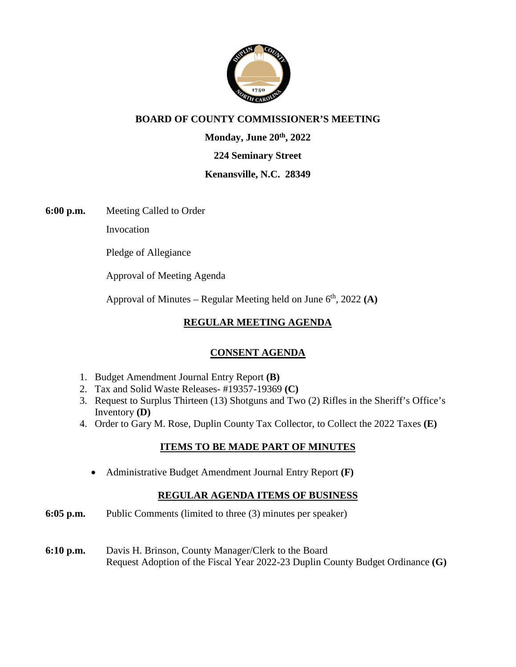

## **BOARD OF COUNTY COMMISSIONER'S MEETING**

**Monday, June 20th, 2022** 

#### **224 Seminary Street**

#### **Kenansville, N.C. 28349**

**6:00 p.m.** Meeting Called to Order

Invocation

Pledge of Allegiance

Approval of Meeting Agenda

Approval of Minutes – Regular Meeting held on June 6<sup>th</sup>, 2022 (A)

## **REGULAR MEETING AGENDA**

## **CONSENT AGENDA**

- 1. Budget Amendment Journal Entry Report **(B)**
- 2. Tax and Solid Waste Releases- #19357-19369 **(C)**
- 3. Request to Surplus Thirteen (13) Shotguns and Two (2) Rifles in the Sheriff's Office's Inventory **(D)**
- 4. Order to Gary M. Rose, Duplin County Tax Collector, to Collect the 2022 Taxes **(E)**

## **ITEMS TO BE MADE PART OF MINUTES**

Administrative Budget Amendment Journal Entry Report **(F)** 

## **REGULAR AGENDA ITEMS OF BUSINESS**

- **6:05 p.m.** Public Comments (limited to three (3) minutes per speaker)
- **6:10 p.m.** Davis H. Brinson, County Manager/Clerk to the Board Request Adoption of the Fiscal Year 2022-23 Duplin County Budget Ordinance **(G)**